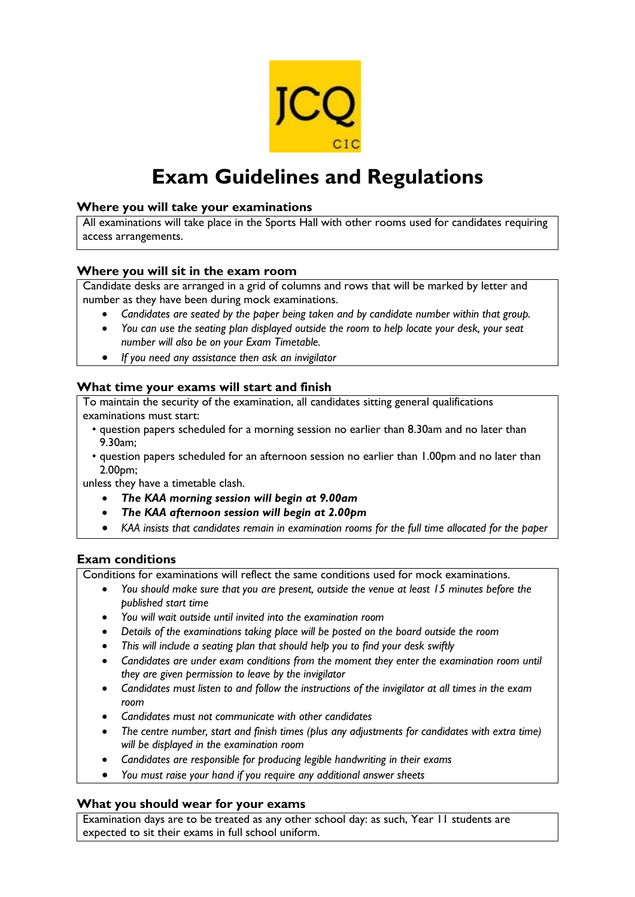

# **Exam Guidelines and Regulations**

#### **Where you will take your examinations**

All examinations will take place in the Sports Hall with other rooms used for candidates requiring access arrangements.

#### **Where you will sit in the exam room**

Candidate desks are arranged in a grid of columns and rows that will be marked by letter and number as they have been during mock examinations.

- *Candidates are seated by the paper being taken and by candidate number within that group.*
- *You can use the seating plan displayed outside the room to help locate your desk, your seat number will also be on your Exam Timetable.*
- *If you need any assistance then ask an invigilator*

#### **What time your exams will start and finish**

To maintain the security of the examination, all candidates sitting general qualifications examinations must start:

- question papers scheduled for a morning session no earlier than 8.30am and no later than 9.30am;
- question papers scheduled for an afternoon session no earlier than 1.00pm and no later than 2.00pm;

unless they have a timetable clash.

- *The KAA morning session will begin at 9.00am*
- *The KAA afternoon session will begin at 2.00pm*
- *KAA insists that candidates remain in examination rooms for the full time allocated for the paper*

## **Exam conditions**

Conditions for examinations will reflect the same conditions used for mock examinations.

- *You should make sure that you are present, outside the venue at least 15 minutes before the published start time*
- *You will wait outside until invited into the examination room*
- *Details of the examinations taking place will be posted on the board outside the room*
- *This will include a seating plan that should help you to find your desk swiftly*
- *Candidates are under exam conditions from the moment they enter the examination room until they are given permission to leave by the invigilator*
- *Candidates must listen to and follow the instructions of the invigilator at all times in the exam room*
- *Candidates must not communicate with other candidates*
- *The centre number, start and finish times (plus any adjustments for candidates with extra time) will be displayed in the examination room*
- *Candidates are responsible for producing legible handwriting in their exams*
- *You must raise your hand if you require any additional answer sheets*

#### **What you should wear for your exams**

Examination days are to be treated as any other school day: as such, Year 11 students are expected to sit their exams in full school uniform.